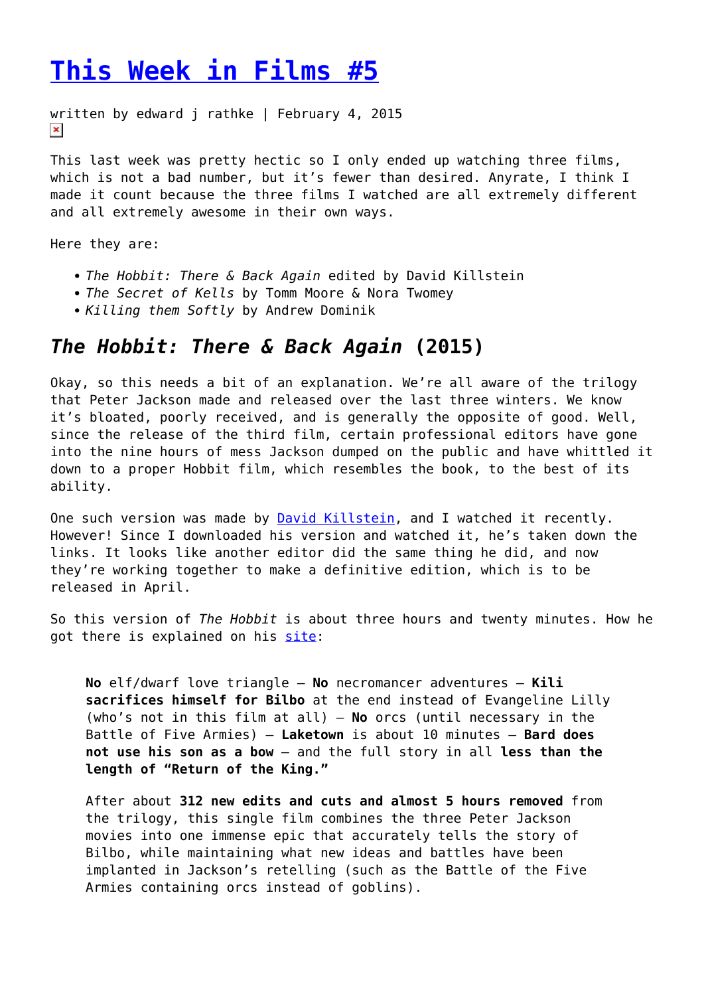## **[This Week in Films #5](https://entropymag.org/this-week-in-films-5/)**

```
written by edward j rathke | February 4, 2015
\pmb{\times}
```
This last week was pretty hectic so I only ended up watching three films, which is not a bad number, but it's fewer than desired. Anyrate, I think I made it count because the three films I watched are all extremely different and all extremely awesome in their own ways.

Here they are:

- *The Hobbit: There & Back Again* edited by David Killstein
- *The Secret of Kells* by Tomm Moore & Nora Twomey
- *Killing them Softly* by Andrew Dominik

## *The Hobbit: There & Back Again* **(2015)**

Okay, so this needs a bit of an explanation. We're all aware of the trilogy that Peter Jackson made and released over the last three winters. We know it's bloated, poorly received, and is generally the opposite of good. Well, since the release of the third film, certain professional editors have gone into the nine hours of mess Jackson dumped on the public and have whittled it down to a proper Hobbit film, which resembles the book, to the best of its ability.

One such version was made by **David Killstein**, and I watched it recently. However! Since I downloaded his version and watched it, he's taken down the links. It looks like another editor did the same thing he did, and now they're working together to make a definitive edition, which is to be released in April.

So this version of *The Hobbit* is about three hours and twenty minutes. How he got there is explained on his [site:](http://definitivehobbitcut.tumblr.com/)

**No** elf/dwarf love triangle – **No** necromancer adventures – **Kili sacrifices himself for Bilbo** at the end instead of Evangeline Lilly (who's not in this film at all) – **No** orcs (until necessary in the Battle of Five Armies) – **Laketown** is about 10 minutes – **Bard does not use his son as a bow** – and the full story in all **less than the length of "Return of the King."**

After about **312 new edits and cuts and almost 5 hours removed** from the trilogy, this single film combines the three Peter Jackson movies into one immense epic that accurately tells the story of Bilbo, while maintaining what new ideas and battles have been implanted in Jackson's retelling (such as the Battle of the Five Armies containing orcs instead of goblins).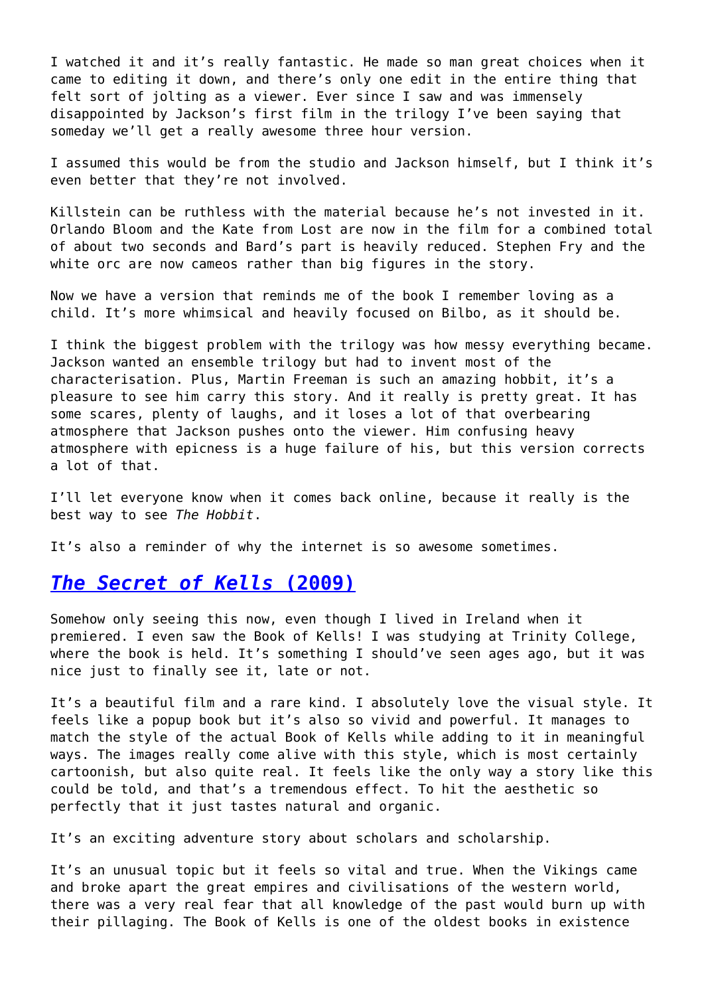I watched it and it's really fantastic. He made so man great choices when it came to editing it down, and there's only one edit in the entire thing that felt sort of jolting as a viewer. Ever since I saw and was immensely disappointed by Jackson's first film in the trilogy I've been saying that someday we'll get a really awesome three hour version.

I assumed this would be from the studio and Jackson himself, but I think it's even better that they're not involved.

Killstein can be ruthless with the material because he's not invested in it. Orlando Bloom and the Kate from Lost are now in the film for a combined total of about two seconds and Bard's part is heavily reduced. Stephen Fry and the white orc are now cameos rather than big figures in the story.

Now we have a version that reminds me of the book I remember loving as a child. It's more whimsical and heavily focused on Bilbo, as it should be.

I think the biggest problem with the trilogy was how messy everything became. Jackson wanted an ensemble trilogy but had to invent most of the characterisation. Plus, Martin Freeman is such an amazing hobbit, it's a pleasure to see him carry this story. And it really is pretty great. It has some scares, plenty of laughs, and it loses a lot of that overbearing atmosphere that Jackson pushes onto the viewer. Him confusing heavy atmosphere with epicness is a huge failure of his, but this version corrects a lot of that.

I'll let everyone know when it comes back online, because it really is the best way to see *The Hobbit*.

It's also a reminder of why the internet is so awesome sometimes.

## *[The Secret of Kells](http://www.netflix.com/WiMovie/70120522?trkid=13752289)* **[\(2009\)](http://www.netflix.com/WiMovie/70120522?trkid=13752289)**

Somehow only seeing this now, even though I lived in Ireland when it premiered. I even saw the Book of Kells! I was studying at Trinity College, where the book is held. It's something I should've seen ages ago, but it was nice just to finally see it, late or not.

It's a beautiful film and a rare kind. I absolutely love the visual style. It feels like a popup book but it's also so vivid and powerful. It manages to match the style of the actual Book of Kells while adding to it in meaningful ways. The images really come alive with this style, which is most certainly cartoonish, but also quite real. It feels like the only way a story like this could be told, and that's a tremendous effect. To hit the aesthetic so perfectly that it just tastes natural and organic.

It's an exciting adventure story about scholars and scholarship.

It's an unusual topic but it feels so vital and true. When the Vikings came and broke apart the great empires and civilisations of the western world, there was a very real fear that all knowledge of the past would burn up with their pillaging. The Book of Kells is one of the oldest books in existence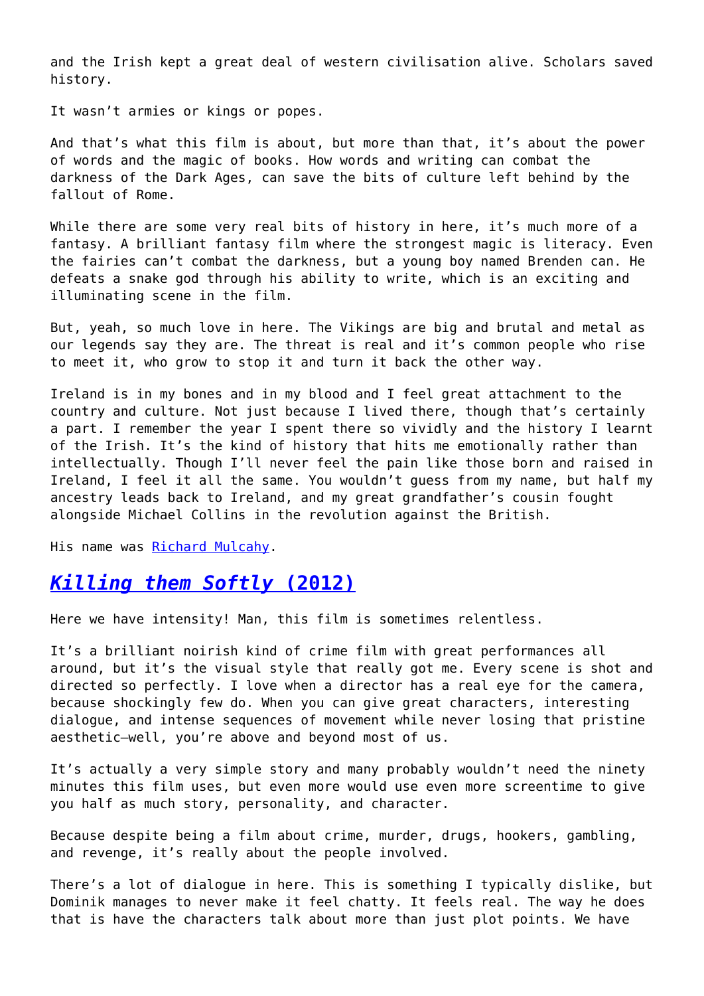and the Irish kept a great deal of western civilisation alive. Scholars saved history.

It wasn't armies or kings or popes.

And that's what this film is about, but more than that, it's about the power of words and the magic of books. How words and writing can combat the darkness of the Dark Ages, can save the bits of culture left behind by the fallout of Rome.

While there are some very real bits of history in here, it's much more of a fantasy. A brilliant fantasy film where the strongest magic is literacy. Even the fairies can't combat the darkness, but a young boy named Brenden can. He defeats a snake god through his ability to write, which is an exciting and illuminating scene in the film.

But, yeah, so much love in here. The Vikings are big and brutal and metal as our legends say they are. The threat is real and it's common people who rise to meet it, who grow to stop it and turn it back the other way.

Ireland is in my bones and in my blood and I feel great attachment to the country and culture. Not just because I lived there, though that's certainly a part. I remember the year I spent there so vividly and the history I learnt of the Irish. It's the kind of history that hits me emotionally rather than intellectually. Though I'll never feel the pain like those born and raised in Ireland, I feel it all the same. You wouldn't guess from my name, but half my ancestry leads back to Ireland, and my great grandfather's cousin fought alongside Michael Collins in the revolution against the British.

His name was [Richard Mulcahy.](http://en.wikipedia.org/wiki/Richard_Mulcahy)

## *[Killing them Softly](http://www.netflix.com/WiMovie/70209252)* **[\(2012\)](http://www.netflix.com/WiMovie/70209252)**

Here we have intensity! Man, this film is sometimes relentless.

It's a brilliant noirish kind of crime film with great performances all around, but it's the visual style that really got me. Every scene is shot and directed so perfectly. I love when a director has a real eye for the camera, because shockingly few do. When you can give great characters, interesting dialogue, and intense sequences of movement while never losing that pristine aesthetic–well, you're above and beyond most of us.

It's actually a very simple story and many probably wouldn't need the ninety minutes this film uses, but even more would use even more screentime to give you half as much story, personality, and character.

Because despite being a film about crime, murder, drugs, hookers, gambling, and revenge, it's really about the people involved.

There's a lot of dialogue in here. This is something I typically dislike, but Dominik manages to never make it feel chatty. It feels real. The way he does that is have the characters talk about more than just plot points. We have